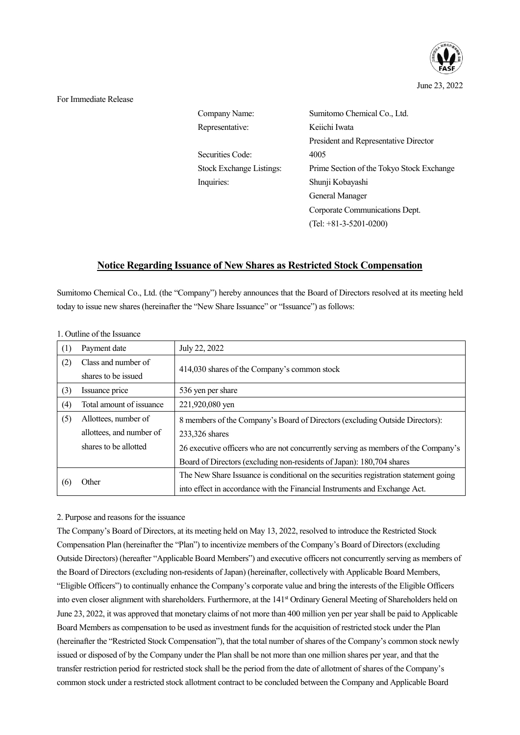

For Immediate Release

| Company Name:            | Sumitomo Chemical Co., Ltd.               |
|--------------------------|-------------------------------------------|
| Representative:          | Keiichi Iwata                             |
|                          | President and Representative Director     |
| Securities Code:         | 4005                                      |
| Stock Exchange Listings: | Prime Section of the Tokyo Stock Exchange |
| Inquiries:               | Shunji Kobayashi                          |
|                          | General Manager                           |
|                          | Corporate Communications Dept.            |
|                          | $(Tel: +81-3-5201-0200)$                  |
|                          |                                           |

# **Notice Regarding Issuance of New Shares as Restricted Stock Compensation**

Sumitomo Chemical Co., Ltd. (the "Company") hereby announces that the Board of Directors resolved at its meeting held today to issue new shares (hereinafter the "New Share Issuance" or "Issuance") as follows:

| (1) | Payment date             | July 22, 2022                                                                        |
|-----|--------------------------|--------------------------------------------------------------------------------------|
| (2) | Class and number of      | 414,030 shares of the Company's common stock                                         |
|     | shares to be issued      |                                                                                      |
| (3) | Issuance price           | 536 yen per share                                                                    |
| (4) | Total amount of issuance | 221,920,080 yen                                                                      |
| (5) | Allottees, number of     | 8 members of the Company's Board of Directors (excluding Outside Directors):         |
|     | allottees, and number of | 233,326 shares                                                                       |
|     | shares to be allotted    | 26 executive officers who are not concurrently serving as members of the Company's   |
|     |                          | Board of Directors (excluding non-residents of Japan): 180,704 shares                |
| (6) | Other                    | The New Share Issuance is conditional on the securities registration statement going |
|     |                          | into effect in accordance with the Financial Instruments and Exchange Act.           |

1. Outline of the Issuance

# 2. Purpose and reasons for the issuance

The Company's Board of Directors, at its meeting held on May 13, 2022, resolved to introduce the Restricted Stock Compensation Plan (hereinafter the "Plan") to incentivize members of the Company's Board of Directors (excluding Outside Directors) (hereafter "Applicable Board Members") and executive officers not concurrently serving as members of the Board of Directors (excluding non-residents of Japan) (hereinafter, collectively with Applicable Board Members, "Eligible Officers") to continually enhance the Company's corporate value and bring the interests of the Eligible Officers into even closer alignment with shareholders. Furthermore, at the 141<sup>st</sup> Ordinary General Meeting of Shareholders held on June 23, 2022, it was approved that monetary claims of not more than 400 million yen per year shall be paid to Applicable Board Members as compensation to be used as investment funds for the acquisition of restricted stock under the Plan (hereinafter the "Restricted Stock Compensation"), that the total number of shares of the Company's common stock newly issued or disposed of by the Company under the Plan shall be not more than one million shares per year, and that the transfer restriction period for restricted stock shall be the period from the date of allotment of shares of the Company's common stock under a restricted stock allotment contract to be concluded between the Company and Applicable Board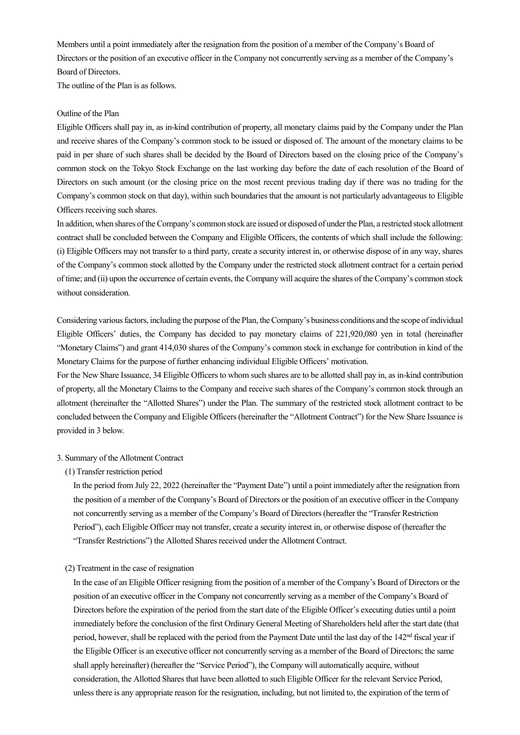Members until a point immediately after the resignation from the position of a member of the Company's Board of Directors or the position of an executive officer in the Company not concurrently serving as a member of the Company's Board of Directors.

The outline of the Plan is as follows.

## Outline of the Plan

Eligible Officers shall pay in, as in-kind contribution of property, all monetary claims paid by the Company under the Plan and receive shares of the Company's common stock to be issued or disposed of. The amount of the monetary claims to be paid in per share of such shares shall be decided by the Board of Directors based on the closing price of the Company's common stock on the Tokyo Stock Exchange on the last working day before the date of each resolution of the Board of Directors on such amount (or the closing price on the most recent previous trading day if there was no trading for the Company's common stock on that day), within such boundaries that the amount is not particularly advantageous to Eligible Officers receiving such shares.

In addition, when shares of the Company's common stock are issued or disposed of under the Plan, a restricted stock allotment contract shall be concluded between the Company and Eligible Officers, the contents of which shall include the following: (i) Eligible Officers may not transfer to a third party, create a security interest in, or otherwise dispose of in any way, shares of the Company's common stock allotted by the Company under the restricted stock allotment contract for a certain period of time; and (ii) upon the occurrence of certain events, the Company will acquire the shares of the Company's common stock without consideration.

Considering various factors, including the purpose of the Plan, the Company's business conditions and the scope of individual Eligible Officers' duties, the Company has decided to pay monetary claims of 221,920,080 yen in total (hereinafter "Monetary Claims") and grant 414,030 shares of the Company's common stock in exchange for contribution in kind of the Monetary Claims for the purpose of further enhancing individual Eligible Officers' motivation.

For the New Share Issuance, 34 Eligible Officers to whom such shares are to be allotted shall pay in, as in-kind contribution of property, all the Monetary Claims to the Company and receive such shares of the Company's common stock through an allotment (hereinafter the "Allotted Shares") under the Plan. The summary of the restricted stock allotment contract to be concluded between the Company and Eligible Officers (hereinafter the "Allotment Contract") for the New Share Issuance is provided in 3 below.

#### 3. Summary of the Allotment Contract

(1) Transfer restriction period

In the period from July 22, 2022 (hereinafter the "Payment Date") until a point immediately after the resignation from the position of a member of the Company's Board of Directors or the position of an executive officer in the Company not concurrently serving as a member of the Company's Board of Directors (hereafter the "Transfer Restriction Period"), each Eligible Officer may not transfer, create a security interest in, or otherwise dispose of (hereafter the "Transfer Restrictions") the Allotted Shares received under the Allotment Contract.

# (2) Treatment in the case of resignation

In the case of an Eligible Officer resigning from the position of a member of the Company's Board of Directors or the position of an executive officer in the Company not concurrently serving as a member of the Company's Board of Directors before the expiration of the period from the start date of the Eligible Officer's executing duties until a point immediately before the conclusion of the first Ordinary General Meeting of Shareholders held after the start date (that period, however, shall be replaced with the period from the Payment Date until the last day of the 142nd fiscal year if the Eligible Officer is an executive officer not concurrently serving as a member of the Board of Directors; the same shall apply hereinafter) (hereafter the "Service Period"), the Company will automatically acquire, without consideration, the Allotted Shares that have been allotted to such Eligible Officer for the relevant Service Period, unless there is any appropriate reason for the resignation, including, but not limited to, the expiration of the term of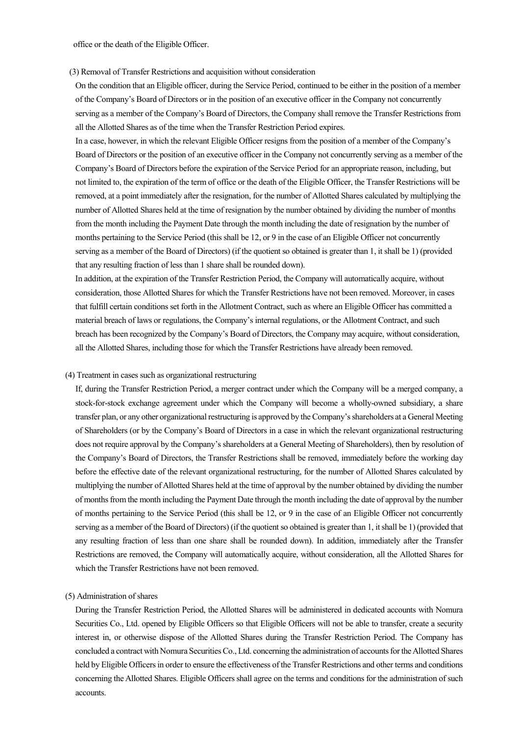office or the death of the Eligible Officer.

#### (3) Removal of Transfer Restrictions and acquisition without consideration

On the condition that an Eligible officer, during the Service Period, continued to be either in the position of a member of the Company's Board of Directors or in the position of an executive officer in the Company not concurrently serving as a member of the Company's Board of Directors, the Company shall remove the Transfer Restrictions from all the Allotted Shares as of the time when the Transfer Restriction Period expires.

In a case, however, in which the relevant Eligible Officer resigns from the position of a member of the Company's Board of Directors or the position of an executive officer in the Company not concurrently serving as a member of the Company's Board of Directors before the expiration of the Service Period for an appropriate reason, including, but not limited to, the expiration of the term of office or the death of the Eligible Officer, the Transfer Restrictions will be removed, at a point immediately after the resignation, for the number of Allotted Shares calculated by multiplying the number of Allotted Shares held at the time of resignation by the number obtained by dividing the number of months from the month including the Payment Date through the month including the date of resignation by the number of months pertaining to the Service Period (this shall be 12, or 9 in the case of an Eligible Officer not concurrently serving as a member of the Board of Directors) (if the quotient so obtained is greater than 1, it shall be 1) (provided that any resulting fraction of less than 1 share shall be rounded down).

In addition, at the expiration of the Transfer Restriction Period, the Company will automatically acquire, without consideration, those Allotted Shares for which the Transfer Restrictions have not been removed. Moreover, in cases that fulfill certain conditions set forth in the Allotment Contract, such as where an Eligible Officer has committed a material breach of laws or regulations, the Company's internal regulations, or the Allotment Contract, and such breach has been recognized by the Company's Board of Directors, the Company may acquire, without consideration, all the Allotted Shares, including those for which the Transfer Restrictions have already been removed.

#### (4) Treatment in cases such as organizational restructuring

If, during the Transfer Restriction Period, a merger contract under which the Company will be a merged company, a stock-for-stock exchange agreement under which the Company will become a wholly-owned subsidiary, a share transfer plan, or any other organizational restructuring is approved by the Company's shareholders at a General Meeting of Shareholders (or by the Company's Board of Directors in a case in which the relevant organizational restructuring does not require approval by the Company's shareholders at a General Meeting of Shareholders), then by resolution of the Company's Board of Directors, the Transfer Restrictions shall be removed, immediately before the working day before the effective date of the relevant organizational restructuring, for the number of Allotted Shares calculated by multiplying the number of Allotted Shares held at the time of approval by the number obtained by dividing the number of months from the month including the Payment Date through the month including the date of approval by the number of months pertaining to the Service Period (this shall be 12, or 9 in the case of an Eligible Officer not concurrently serving as a member of the Board of Directors) (if the quotient so obtained is greater than 1, it shall be 1) (provided that any resulting fraction of less than one share shall be rounded down). In addition, immediately after the Transfer Restrictions are removed, the Company will automatically acquire, without consideration, all the Allotted Shares for which the Transfer Restrictions have not been removed.

### (5) Administration of shares

During the Transfer Restriction Period, the Allotted Shares will be administered in dedicated accounts with Nomura Securities Co., Ltd. opened by Eligible Officers so that Eligible Officers will not be able to transfer, create a security interest in, or otherwise dispose of the Allotted Shares during the Transfer Restriction Period. The Company has concluded a contract with Nomura Securities Co., Ltd. concerning the administration of accounts for the Allotted Shares held by Eligible Officers in order to ensure the effectiveness of the Transfer Restrictions and other terms and conditions concerning the Allotted Shares. Eligible Officers shall agree on the terms and conditions for the administration of such accounts.